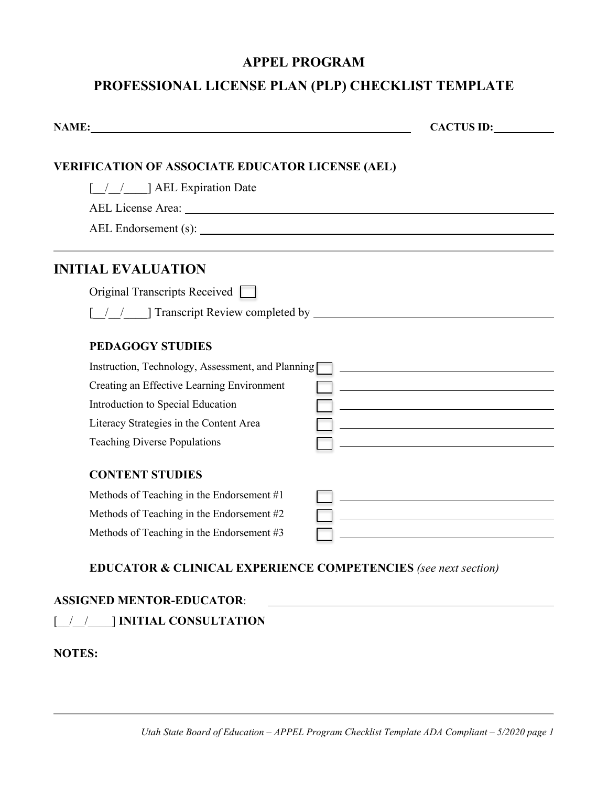### **APPEL PROGRAM**

# PROFESSIONAL LICENSE PLAN (PLP) CHECKLIST TEMPLATE

| NAME:                                                   | CACTUS ID:                                                                                                           |
|---------------------------------------------------------|----------------------------------------------------------------------------------------------------------------------|
| <b>VERIFICATION OF ASSOCIATE EDUCATOR LICENSE (AEL)</b> |                                                                                                                      |
| [ / / ] AEL Expiration Date                             |                                                                                                                      |
|                                                         |                                                                                                                      |
|                                                         | AEL Endorsement (s):                                                                                                 |
|                                                         |                                                                                                                      |
| <b>INITIAL EVALUATION</b>                               |                                                                                                                      |
| Original Transcripts Received                           |                                                                                                                      |
|                                                         |                                                                                                                      |
| <b>PEDAGOGY STUDIES</b>                                 |                                                                                                                      |
| Instruction, Technology, Assessment, and Planning       | <u> 1989 - Johann Barn, mars ann an t-Amhain Aonaich an t-Aonaich an t-Aonaich ann an t-Aonaich ann an t-Aonaich</u> |
| Creating an Effective Learning Environment              |                                                                                                                      |
| Introduction to Special Education                       | <u> 1980 - Johann Barbara, martxa alemaniar a</u>                                                                    |
| Literacy Strategies in the Content Area                 |                                                                                                                      |
| <b>Teaching Diverse Populations</b>                     | <u> 1989 - Johann Barbara, martin amerikan basar da</u>                                                              |
| <b>CONTENT STUDIES</b>                                  |                                                                                                                      |
| Methods of Teaching in the Endorsement #1               | <u> 1989 - Johann Stoff, fransk politik (d. 1989)</u>                                                                |
| Methods of Teaching in the Endorsement #2               |                                                                                                                      |
| Methods of Teaching in the Endorsement #3               |                                                                                                                      |

# **ASSIGNED MENTOR-EDUCATOR**: [\_\_/\_\_/\_\_\_\_] **INITIAL CONSULTATION**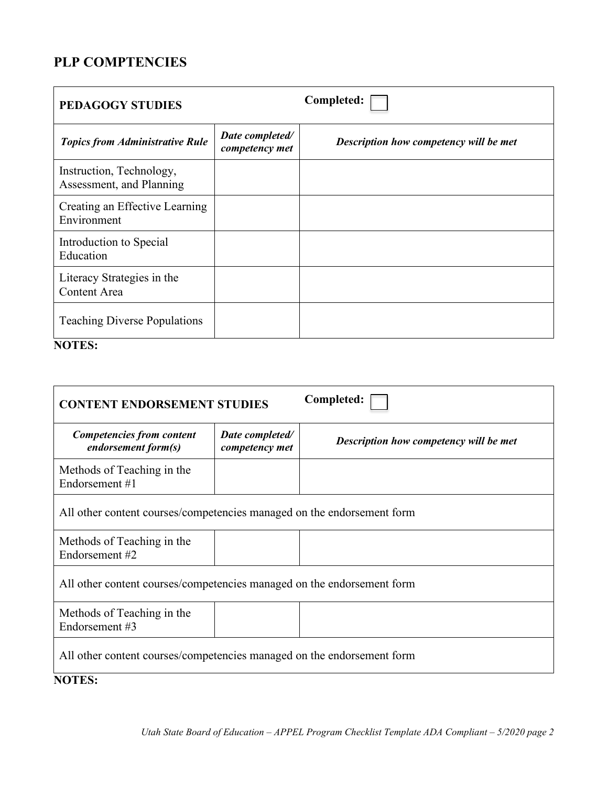# **PLP COMPTENCIES**

| <b>PEDAGOGY STUDIES</b>                              |                                   | Completed:                             |
|------------------------------------------------------|-----------------------------------|----------------------------------------|
| <b>Topics from Administrative Rule</b>               | Date completed/<br>competency met | Description how competency will be met |
| Instruction, Technology,<br>Assessment, and Planning |                                   |                                        |
| Creating an Effective Learning<br>Environment        |                                   |                                        |
| Introduction to Special<br>Education                 |                                   |                                        |
| Literacy Strategies in the<br><b>Content Area</b>    |                                   |                                        |
| <b>Teaching Diverse Populations</b>                  |                                   |                                        |

| <b>CONTENT ENDORSEMENT STUDIES</b>                                     |                                   | Completed:                             |
|------------------------------------------------------------------------|-----------------------------------|----------------------------------------|
| <b>Competencies from content</b><br>endorsement form(s)                | Date completed/<br>competency met | Description how competency will be met |
| Methods of Teaching in the<br>Endorsement #1                           |                                   |                                        |
| All other content courses/competencies managed on the endorsement form |                                   |                                        |
| Methods of Teaching in the<br>Endorsement #2                           |                                   |                                        |
| All other content courses/competencies managed on the endorsement form |                                   |                                        |
| Methods of Teaching in the<br>Endorsement #3                           |                                   |                                        |
| All other content courses/competencies managed on the endorsement form |                                   |                                        |
| <b>NOTES:</b>                                                          |                                   |                                        |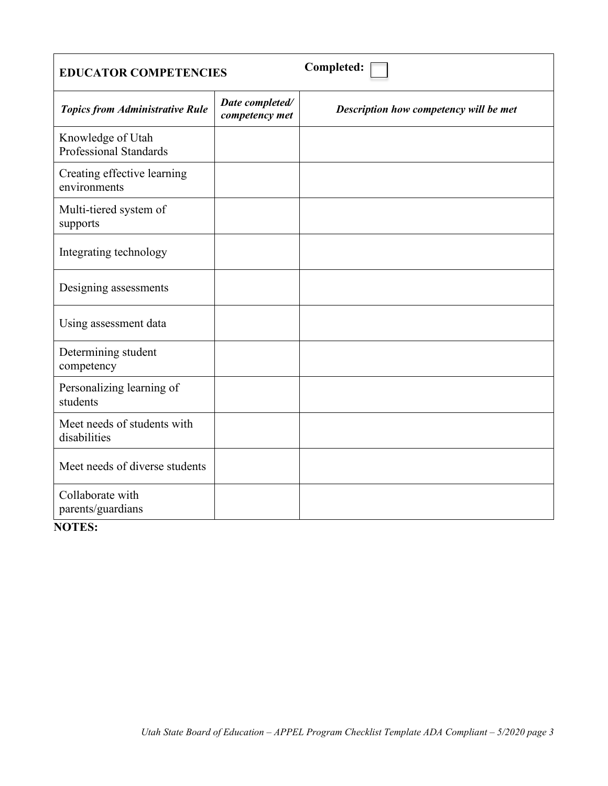| <b>EDUCATOR COMPETENCIES</b>                       |                                   | Completed:                             |
|----------------------------------------------------|-----------------------------------|----------------------------------------|
| <b>Topics from Administrative Rule</b>             | Date completed/<br>competency met | Description how competency will be met |
| Knowledge of Utah<br><b>Professional Standards</b> |                                   |                                        |
| Creating effective learning<br>environments        |                                   |                                        |
| Multi-tiered system of<br>supports                 |                                   |                                        |
| Integrating technology                             |                                   |                                        |
| Designing assessments                              |                                   |                                        |
| Using assessment data                              |                                   |                                        |
| Determining student<br>competency                  |                                   |                                        |
| Personalizing learning of<br>students              |                                   |                                        |
| Meet needs of students with<br>disabilities        |                                   |                                        |
| Meet needs of diverse students                     |                                   |                                        |
| Collaborate with<br>parents/guardians              |                                   |                                        |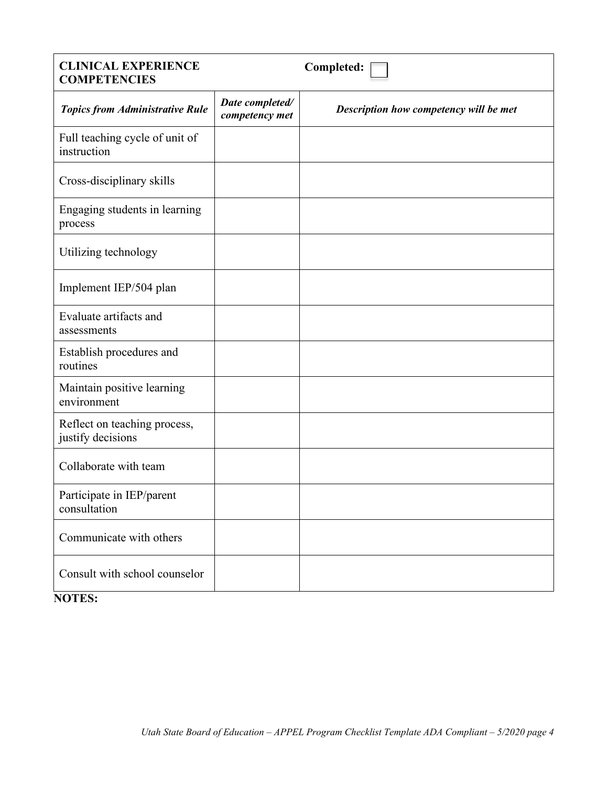# **COMPETENCIES**  Utilizing technology Establish procedures and **CLINICAL EXPERIENCE COMPETENCIES Completed:**  *Topics from Administrative Rule Date completed/ competency met Description how competency will be met*  Full teaching cycle of unit of instruction Cross-disciplinary skills Engaging students in learning process Implement IEP/504 plan Evaluate artifacts and assessments routines Maintain positive learning environment Reflect on teaching process, justify decisions Collaborate with team Participate in IEP/parent consultation Communicate with others Consult with school counselor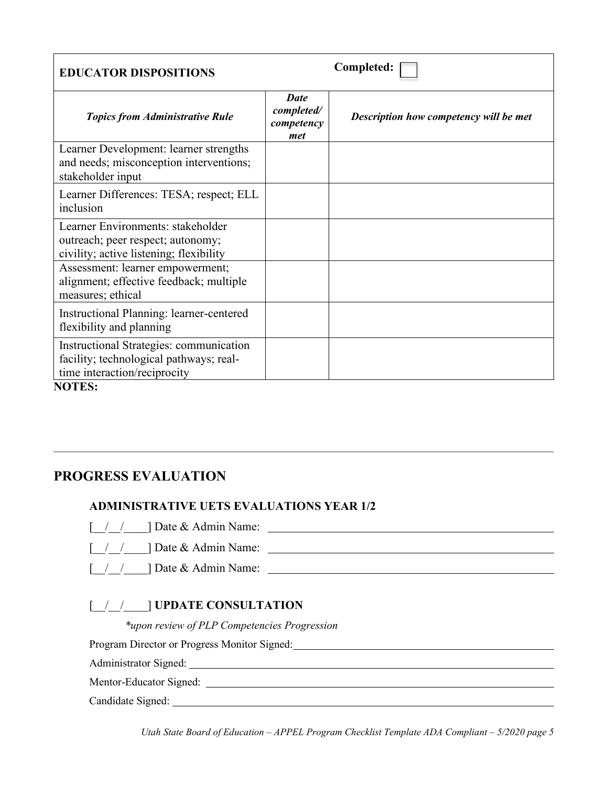| <b>EDUCATOR DISPOSITIONS</b>                                                                                                 |                                                | Completed:                             |
|------------------------------------------------------------------------------------------------------------------------------|------------------------------------------------|----------------------------------------|
| <b>Topics from Administrative Rule</b>                                                                                       | <b>Date</b><br>completed/<br>competency<br>met | Description how competency will be met |
| Learner Development: learner strengths<br>and needs; misconception interventions;<br>stakeholder input                       |                                                |                                        |
| Learner Differences: TESA; respect; ELL<br>inclusion                                                                         |                                                |                                        |
| Learner Environments: stakeholder<br>outreach; peer respect; autonomy;<br>civility; active listening; flexibility            |                                                |                                        |
| Assessment: learner empowerment;<br>alignment; effective feedback; multiple<br>measures; ethical                             |                                                |                                        |
| Instructional Planning: learner-centered<br>flexibility and planning                                                         |                                                |                                        |
| Instructional Strategies: communication<br>facility; technological pathways; real-<br>time interaction/reciprocity<br>млтгс. |                                                |                                        |

**NOTES:** 

## **PROGRESS EVALUATION**

#### **ADMINISTRATIVE UETS EVALUATIONS YEAR 1/2**

- 
- [\_\_/\_\_/\_\_\_\_] Date & Admin Name: [\_\_/\_\_/\_\_\_\_] Date & Admin Name:
- [\_\_/\_\_/\_\_\_\_] Date & Admin Name:

#### [\_\_/\_\_/\_\_\_\_] **UPDATE CONSULTATION**

*\*upon review of PLP Competencies Progression*

Program Director or Progress Monitor Signed: Manual Accords 2014 19:00 Program Director or Progress Monitor Signed: Program Director or Progress Monitor Signed: Administrator Signed:

Mentor-Educator Signed:<br>Candidate Signed: \_\_\_\_\_\_\_

Candidate Signed:

 *Utah State Board of Education – APPEL Program Checklist Template ADA Compliant – 5/2020 page 5*